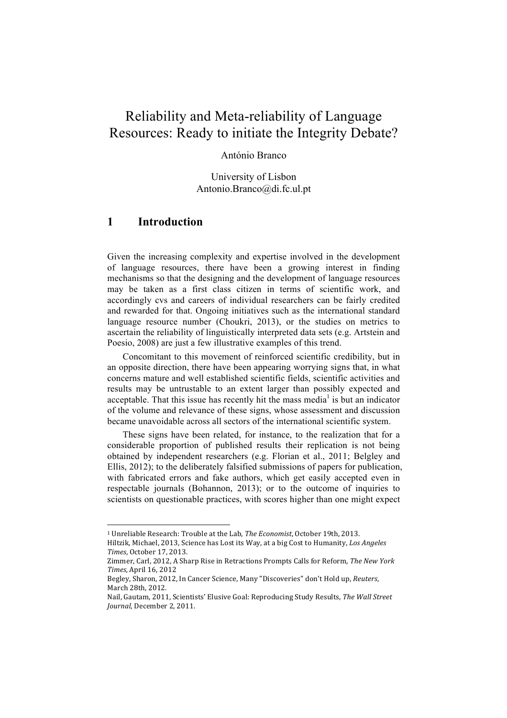# Reliability and Meta-reliability of Language Resources: Ready to initiate the Integrity Debate?

#### António Branco

University of Lisbon Antonio.Branco@di.fc.ul.pt

### **1 Introduction**

Given the increasing complexity and expertise involved in the development of language resources, there have been a growing interest in finding mechanisms so that the designing and the development of language resources may be taken as a first class citizen in terms of scientific work, and accordingly cvs and careers of individual researchers can be fairly credited and rewarded for that. Ongoing initiatives such as the international standard language resource number (Choukri, 2013), or the studies on metrics to ascertain the reliability of linguistically interpreted data sets (e.g. Artstein and Poesio, 2008) are just a few illustrative examples of this trend.

Concomitant to this movement of reinforced scientific credibility, but in an opposite direction, there have been appearing worrying signs that, in what concerns mature and well established scientific fields, scientific activities and results may be untrustable to an extent larger than possibly expected and acceptable. That this issue has recently hit the mass media<sup>1</sup> is but an indicator of the volume and relevance of these signs, whose assessment and discussion became unavoidable across all sectors of the international scientific system.

These signs have been related, for instance, to the realization that for a considerable proportion of published results their replication is not being obtained by independent researchers (e.g. Florian et al., 2011; Belgley and Ellis, 2012); to the deliberately falsified submissions of papers for publication, with fabricated errors and fake authors, which get easily accepted even in respectable journals (Bohannon, 2013); or to the outcome of inquiries to scientists on questionable practices, with scores higher than one might expect

!!!!!!!!!!!!!!!!!!!!!!!!!!!!!!!!!!!!!!!!!!!!!!!!!!!!!!!

<sup>&</sup>lt;sup>1</sup> Unreliable Research: Trouble at the Lab, *The Economist*, October 19th, 2013. Hiltzik, Michael, 2013, Science has Lost its Way, at a big Cost to Humanity, Los Angeles

*Times*, October 17, 2013.

Zimmer, Carl, 2012, A Sharp Rise in Retractions Prompts Calls for Reform, *The New York Times, April* 16, 2012

Begley, Sharon, 2012, In Cancer Science, Many "Discoveries" don't Hold up, *Reuters*, March 28th, 2012.

Nail, Gautam, 2011, Scientists' Elusive Goal: Reproducing Study Results, *The Wall Street Journal*, December 2, 2011.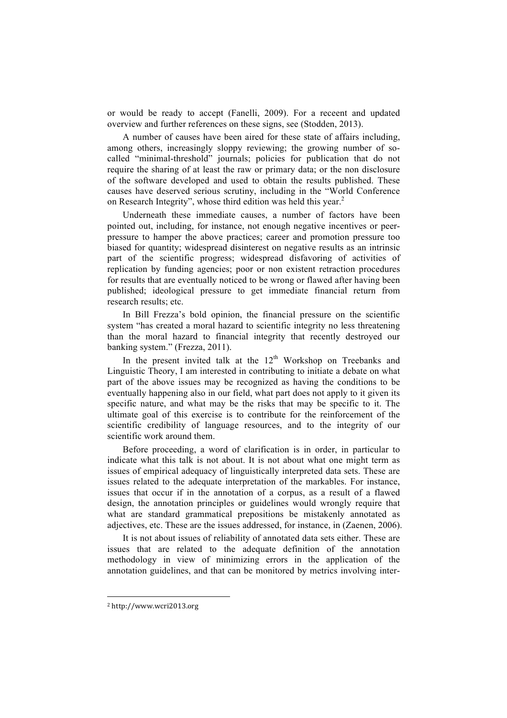or would be ready to accept (Fanelli, 2009). For a receent and updated overview and further references on these signs, see (Stodden, 2013).

A number of causes have been aired for these state of affairs including, among others, increasingly sloppy reviewing; the growing number of socalled "minimal-threshold" journals; policies for publication that do not require the sharing of at least the raw or primary data; or the non disclosure of the software developed and used to obtain the results published. These causes have deserved serious scrutiny, including in the "World Conference on Research Integrity", whose third edition was held this year.<sup>2</sup>

Underneath these immediate causes, a number of factors have been pointed out, including, for instance, not enough negative incentives or peerpressure to hamper the above practices; career and promotion pressure too biased for quantity; widespread disinterest on negative results as an intrinsic part of the scientific progress; widespread disfavoring of activities of replication by funding agencies; poor or non existent retraction procedures for results that are eventually noticed to be wrong or flawed after having been published; ideological pressure to get immediate financial return from research results; etc.

In Bill Frezza's bold opinion, the financial pressure on the scientific system "has created a moral hazard to scientific integrity no less threatening than the moral hazard to financial integrity that recently destroyed our banking system." (Frezza, 2011).

In the present invited talk at the  $12<sup>th</sup>$  Workshop on Treebanks and Linguistic Theory, I am interested in contributing to initiate a debate on what part of the above issues may be recognized as having the conditions to be eventually happening also in our field, what part does not apply to it given its specific nature, and what may be the risks that may be specific to it. The ultimate goal of this exercise is to contribute for the reinforcement of the scientific credibility of language resources, and to the integrity of our scientific work around them.

Before proceeding, a word of clarification is in order, in particular to indicate what this talk is not about. It is not about what one might term as issues of empirical adequacy of linguistically interpreted data sets. These are issues related to the adequate interpretation of the markables. For instance, issues that occur if in the annotation of a corpus, as a result of a flawed design, the annotation principles or guidelines would wrongly require that what are standard grammatical prepositions be mistakenly annotated as adjectives, etc. These are the issues addressed, for instance, in (Zaenen, 2006).

It is not about issues of reliability of annotated data sets either. These are issues that are related to the adequate definition of the annotation methodology in view of minimizing errors in the application of the annotation guidelines, and that can be monitored by metrics involving inter-

!!!!!!!!!!!!!!!!!!!!!!!!!!!!!!!!!!!!!!!!!!!!!!!!!!!!!!!

<sup>2</sup> http://www.wcri2013.org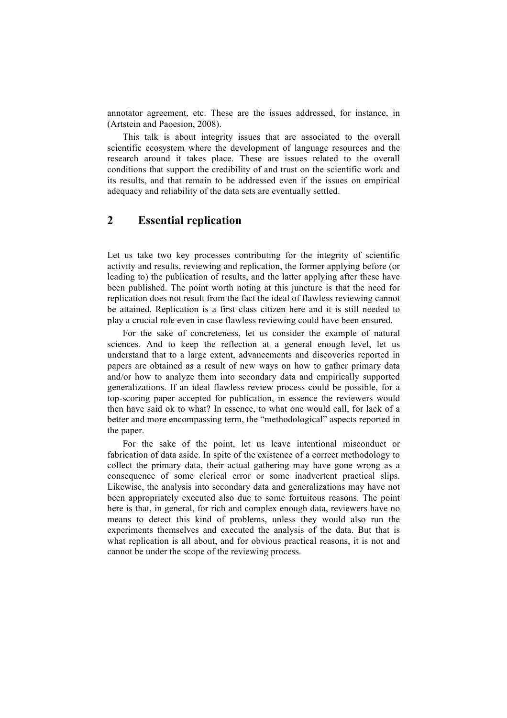annotator agreement, etc. These are the issues addressed, for instance, in (Artstein and Paoesion, 2008).

This talk is about integrity issues that are associated to the overall scientific ecosystem where the development of language resources and the research around it takes place. These are issues related to the overall conditions that support the credibility of and trust on the scientific work and its results, and that remain to be addressed even if the issues on empirical adequacy and reliability of the data sets are eventually settled.

## **2 Essential replication**

Let us take two key processes contributing for the integrity of scientific activity and results, reviewing and replication, the former applying before (or leading to) the publication of results, and the latter applying after these have been published. The point worth noting at this juncture is that the need for replication does not result from the fact the ideal of flawless reviewing cannot be attained. Replication is a first class citizen here and it is still needed to play a crucial role even in case flawless reviewing could have been ensured.

For the sake of concreteness, let us consider the example of natural sciences. And to keep the reflection at a general enough level, let us understand that to a large extent, advancements and discoveries reported in papers are obtained as a result of new ways on how to gather primary data and/or how to analyze them into secondary data and empirically supported generalizations. If an ideal flawless review process could be possible, for a top-scoring paper accepted for publication, in essence the reviewers would then have said ok to what? In essence, to what one would call, for lack of a better and more encompassing term, the "methodological" aspects reported in the paper.

For the sake of the point, let us leave intentional misconduct or fabrication of data aside. In spite of the existence of a correct methodology to collect the primary data, their actual gathering may have gone wrong as a consequence of some clerical error or some inadvertent practical slips. Likewise, the analysis into secondary data and generalizations may have not been appropriately executed also due to some fortuitous reasons. The point here is that, in general, for rich and complex enough data, reviewers have no means to detect this kind of problems, unless they would also run the experiments themselves and executed the analysis of the data. But that is what replication is all about, and for obvious practical reasons, it is not and cannot be under the scope of the reviewing process.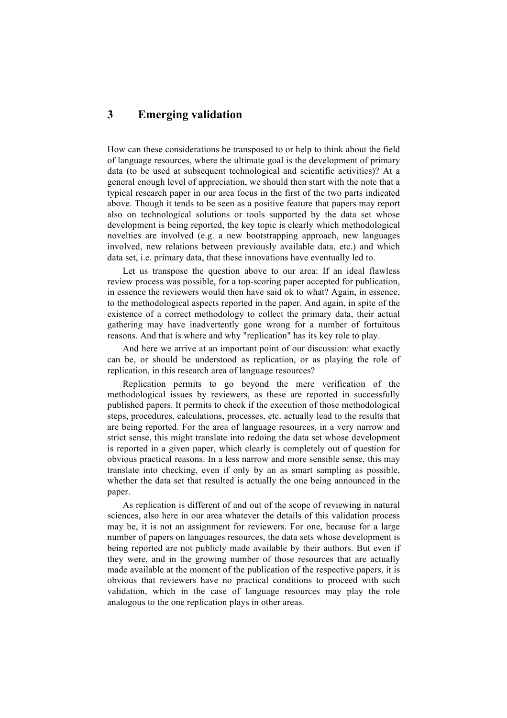# **3 Emerging validation**

How can these considerations be transposed to or help to think about the field of language resources, where the ultimate goal is the development of primary data (to be used at subsequent technological and scientific activities)? At a general enough level of appreciation, we should then start with the note that a typical research paper in our area focus in the first of the two parts indicated above. Though it tends to be seen as a positive feature that papers may report also on technological solutions or tools supported by the data set whose development is being reported, the key topic is clearly which methodological novelties are involved (e.g. a new bootstrapping approach, new languages involved, new relations between previously available data, etc.) and which data set, i.e. primary data, that these innovations have eventually led to.

Let us transpose the question above to our area: If an ideal flawless review process was possible, for a top-scoring paper accepted for publication, in essence the reviewers would then have said ok to what? Again, in essence, to the methodological aspects reported in the paper. And again, in spite of the existence of a correct methodology to collect the primary data, their actual gathering may have inadvertently gone wrong for a number of fortuitous reasons. And that is where and why "replication" has its key role to play.

And here we arrive at an important point of our discussion: what exactly can be, or should be understood as replication, or as playing the role of replication, in this research area of language resources?

Replication permits to go beyond the mere verification of the methodological issues by reviewers, as these are reported in successfully published papers. It permits to check if the execution of those methodological steps, procedures, calculations, processes, etc. actually lead to the results that are being reported. For the area of language resources, in a very narrow and strict sense, this might translate into redoing the data set whose development is reported in a given paper, which clearly is completely out of question for obvious practical reasons. In a less narrow and more sensible sense, this may translate into checking, even if only by an as smart sampling as possible, whether the data set that resulted is actually the one being announced in the paper.

As replication is different of and out of the scope of reviewing in natural sciences, also here in our area whatever the details of this validation process may be, it is not an assignment for reviewers. For one, because for a large number of papers on languages resources, the data sets whose development is being reported are not publicly made available by their authors. But even if they were, and in the growing number of those resources that are actually made available at the moment of the publication of the respective papers, it is obvious that reviewers have no practical conditions to proceed with such validation, which in the case of language resources may play the role analogous to the one replication plays in other areas.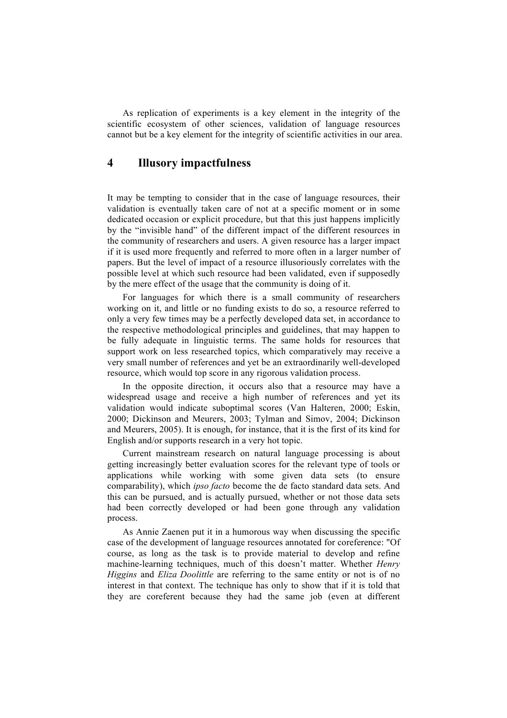As replication of experiments is a key element in the integrity of the scientific ecosystem of other sciences, validation of language resources cannot but be a key element for the integrity of scientific activities in our area.

# **4 Illusory impactfulness**

It may be tempting to consider that in the case of language resources, their validation is eventually taken care of not at a specific moment or in some dedicated occasion or explicit procedure, but that this just happens implicitly by the "invisible hand" of the different impact of the different resources in the community of researchers and users. A given resource has a larger impact if it is used more frequently and referred to more often in a larger number of papers. But the level of impact of a resource illusoriously correlates with the possible level at which such resource had been validated, even if supposedly by the mere effect of the usage that the community is doing of it.

For languages for which there is a small community of researchers working on it, and little or no funding exists to do so, a resource referred to only a very few times may be a perfectly developed data set, in accordance to the respective methodological principles and guidelines, that may happen to be fully adequate in linguistic terms. The same holds for resources that support work on less researched topics, which comparatively may receive a very small number of references and yet be an extraordinarily well-developed resource, which would top score in any rigorous validation process.

In the opposite direction, it occurs also that a resource may have a widespread usage and receive a high number of references and yet its validation would indicate suboptimal scores (Van Halteren, 2000; Eskin, 2000; Dickinson and Meurers, 2003; Tylman and Simov, 2004; Dickinson and Meurers, 2005). It is enough, for instance, that it is the first of its kind for English and/or supports research in a very hot topic.

Current mainstream research on natural language processing is about getting increasingly better evaluation scores for the relevant type of tools or applications while working with some given data sets (to ensure comparability), which *ipso facto* become the de facto standard data sets. And this can be pursued, and is actually pursued, whether or not those data sets had been correctly developed or had been gone through any validation process.

As Annie Zaenen put it in a humorous way when discussing the specific case of the development of language resources annotated for coreference: "Of course, as long as the task is to provide material to develop and refine machine-learning techniques, much of this doesn't matter. Whether *Henry Higgins* and *Eliza Doolittle* are referring to the same entity or not is of no interest in that context. The technique has only to show that if it is told that they are coreferent because they had the same job (even at different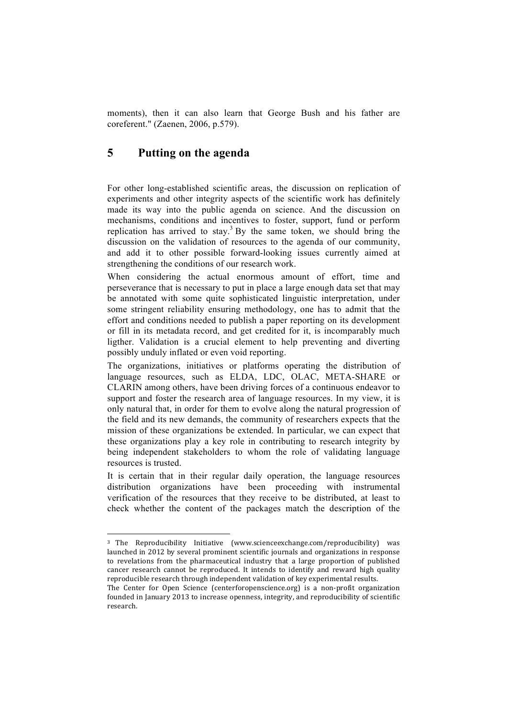moments), then it can also learn that George Bush and his father are coreferent." (Zaenen, 2006, p.579).

## **5 Putting on the agenda**

!!!!!!!!!!!!!!!!!!!!!!!!!!!!!!!!!!!!!!!!!!!!!!!!!!!!!!!

For other long-established scientific areas, the discussion on replication of experiments and other integrity aspects of the scientific work has definitely made its way into the public agenda on science. And the discussion on mechanisms, conditions and incentives to foster, support, fund or perform replication has arrived to stay.<sup>3</sup> By the same token, we should bring the discussion on the validation of resources to the agenda of our community, and add it to other possible forward-looking issues currently aimed at strengthening the conditions of our research work.

When considering the actual enormous amount of effort, time and perseverance that is necessary to put in place a large enough data set that may be annotated with some quite sophisticated linguistic interpretation, under some stringent reliability ensuring methodology, one has to admit that the effort and conditions needed to publish a paper reporting on its development or fill in its metadata record, and get credited for it, is incomparably much ligther. Validation is a crucial element to help preventing and diverting possibly unduly inflated or even void reporting.

The organizations, initiatives or platforms operating the distribution of language resources, such as ELDA, LDC, OLAC, META-SHARE or CLARIN among others, have been driving forces of a continuous endeavor to support and foster the research area of language resources. In my view, it is only natural that, in order for them to evolve along the natural progression of the field and its new demands, the community of researchers expects that the mission of these organizations be extended. In particular, we can expect that these organizations play a key role in contributing to research integrity by being independent stakeholders to whom the role of validating language resources is trusted.

It is certain that in their regular daily operation, the language resources distribution organizations have been proceeding with instrumental verification of the resources that they receive to be distributed, at least to check whether the content of the packages match the description of the

<sup>&</sup>lt;sup>3</sup> The Reproducibility Initiative (www.scienceexchange.com/reproducibility) was launched in 2012 by several prominent scientific journals and organizations in response to revelations from the pharmaceutical industry that a large proportion of published cancer research cannot be reproduced. It intends to identify and reward high quality reproducible research through independent validation of key experimental results.

The Center for Open Science (centerforopenscience.org) is a non-profit organization founded in January 2013 to increase openness, integrity, and reproducibility of scientific research.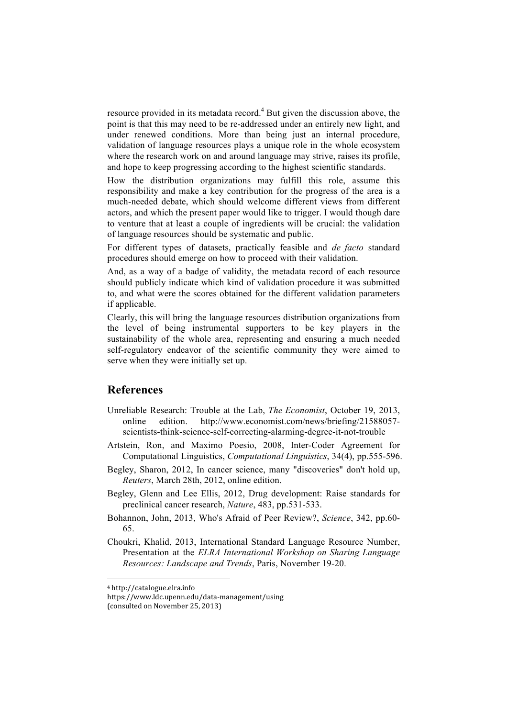resource provided in its metadata record.<sup>4</sup> But given the discussion above, the point is that this may need to be re-addressed under an entirely new light, and under renewed conditions. More than being just an internal procedure, validation of language resources plays a unique role in the whole ecosystem where the research work on and around language may strive, raises its profile, and hope to keep progressing according to the highest scientific standards.

How the distribution organizations may fulfill this role, assume this responsibility and make a key contribution for the progress of the area is a much-needed debate, which should welcome different views from different actors, and which the present paper would like to trigger. I would though dare to venture that at least a couple of ingredients will be crucial: the validation of language resources should be systematic and public.

For different types of datasets, practically feasible and *de facto* standard procedures should emerge on how to proceed with their validation.

And, as a way of a badge of validity, the metadata record of each resource should publicly indicate which kind of validation procedure it was submitted to, and what were the scores obtained for the different validation parameters if applicable.

Clearly, this will bring the language resources distribution organizations from the level of being instrumental supporters to be key players in the sustainability of the whole area, representing and ensuring a much needed self-regulatory endeavor of the scientific community they were aimed to serve when they were initially set up.

#### **References**

- Unreliable Research: Trouble at the Lab, *The Economist*, October 19, 2013, online edition. http://www.economist.com/news/briefing/21588057 scientists-think-science-self-correcting-alarming-degree-it-not-trouble
- Artstein, Ron, and Maximo Poesio, 2008, Inter-Coder Agreement for Computational Linguistics, *Computational Linguistics*, 34(4), pp.555-596.
- Begley, Sharon, 2012, In cancer science, many "discoveries" don't hold up, *Reuters*, March 28th, 2012, online edition.
- Begley, Glenn and Lee Ellis, 2012, Drug development: Raise standards for preclinical cancer research, *Nature*, 483, pp.531-533.
- Bohannon, John, 2013, Who's Afraid of Peer Review?, *Science*, 342, pp.60- 65.
- Choukri, Khalid, 2013, International Standard Language Resource Number, Presentation at the *ELRA International Workshop on Sharing Language Resources: Landscape and Trends*, Paris, November 19-20.

!!!!!!!!!!!!!!!!!!!!!!!!!!!!!!!!!!!!!!!!!!!!!!!!!!!!!!!

<sup>4</sup> http://catalogue.elra.info

https://www.ldc.upenn.edu/data\_management/using

<sup>(</sup>consulted on November 25, 2013)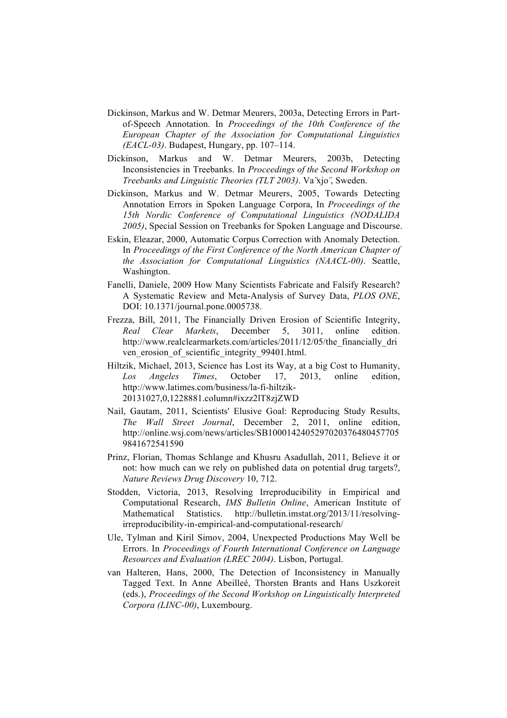- Dickinson, Markus and W. Detmar Meurers, 2003a, Detecting Errors in Partof-Speech Annotation. In *Proceedings of the 10th Conference of the European Chapter of the Association for Computational Linguistics (EACL-03)*. Budapest, Hungary, pp. 107–114.
- Dickinson, Markus and W. Detmar Meurers, 2003b, Detecting Inconsistencies in Treebanks. In *Proceedings of the Second Workshop on Treebanks and Linguistic Theories (TLT 2003)*. Va ̈xjo ̈, Sweden.
- Dickinson, Markus and W. Detmar Meurers, 2005, Towards Detecting Annotation Errors in Spoken Language Corpora, In *Proceedings of the 15th Nordic Conference of Computational Linguistics (NODALIDA 2005)*, Special Session on Treebanks for Spoken Language and Discourse.
- Eskin, Eleazar, 2000, Automatic Corpus Correction with Anomaly Detection. In *Proceedings of the First Conference of the North American Chapter of the Association for Computational Linguistics (NAACL-00)*. Seattle, Washington.
- Fanelli, Daniele, 2009 How Many Scientists Fabricate and Falsify Research? A Systematic Review and Meta-Analysis of Survey Data, *PLOS ONE*, DOI: 10.1371/journal.pone.0005738.
- Frezza, Bill, 2011, The Financially Driven Erosion of Scientific Integrity, *Real Clear Markets*, December 5, 3011, online edition. http://www.realclearmarkets.com/articles/2011/12/05/the\_financially\_dri ven erosion of scientific integrity 99401.html.
- Hiltzik, Michael, 2013, Science has Lost its Way, at a big Cost to Humanity, *Los Angeles Times*, October 17, 2013, online edition, http://www.latimes.com/business/la-fi-hiltzik-20131027,0,1228881.column#ixzz2lT8zjZWD
- Nail, Gautam, 2011, Scientists' Elusive Goal: Reproducing Study Results, *The Wall Street Journal*, December 2, 2011, online edition, http://online.wsj.com/news/articles/SB1000142405297020376480457705 9841672541590
- Prinz, Florian, Thomas Schlange and Khusru Asadullah, 2011, Believe it or not: how much can we rely on published data on potential drug targets?, *Nature Reviews Drug Discovery* 10, 712.
- Stodden, Victoria, 2013, Resolving Irreproducibility in Empirical and Computational Research, *IMS Bulletin Online*, American Institute of Mathematical Statistics. http://bulletin.imstat.org/2013/11/resolvingirreproducibility-in-empirical-and-computational-research/
- Ule, Tylman and Kiril Simov, 2004, Unexpected Productions May Well be Errors. In *Proceedings of Fourth International Conference on Language Resources and Evaluation (LREC 2004)*. Lisbon, Portugal.
- van Halteren, Hans, 2000, The Detection of Inconsistency in Manually Tagged Text. In Anne Abeilleé, Thorsten Brants and Hans Uszkoreit (eds.), *Proceedings of the Second Workshop on Linguistically Interpreted Corpora (LINC-00)*, Luxembourg.